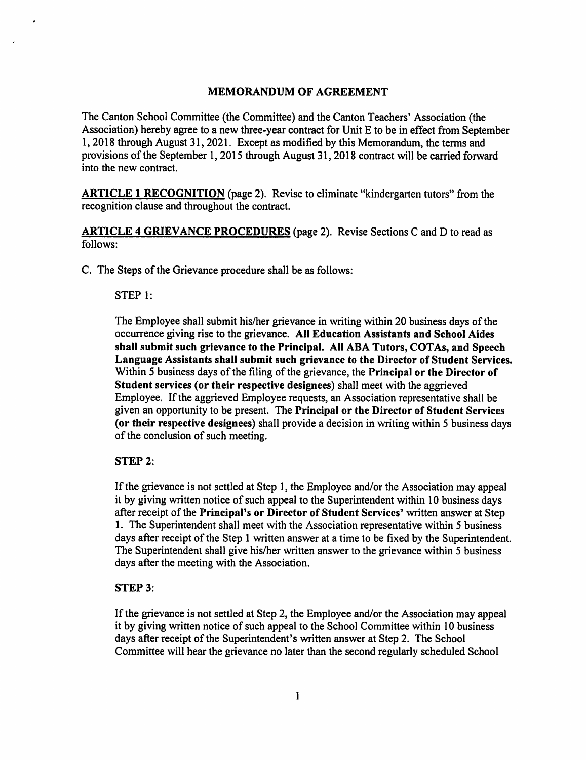# **MEMORANDUM OF AGREEMENT**

The Canton School Committee (the Committee) and the Canton Teachers' Association (the Association) hereby agree to a new three-year contract for Unit E to be in effect from September 1, 2018 through August 31, 2021. Except as modified by this Memorandum, the terms and provisions of the September 1,2015 through August 31,2018 contract will be carried forward into the new contract.

ARTICLE 1 RECOGNITION (page 2). Revise to eliminate "kindergarten tutors" from the recognition clause and throughout the contract.

ARTICLE 4 GRIEVANCE PROCEDURES (page 2). Revise Sections C and D to read as follows:

C. The Steps of the Grievance procedure shall be as follows:

#### STEP 1:

The Employee shall submit his/her grievance in writing within 20 business days of the occurrence giving rise to the grievance. All Education Assistants and School Aides shall submit such grievance to the Principal. All ABA Tutors, COTAs, and Speech Language Assistants shall submit such grievance to the Director of Student Services. Within 5 business days of the filing of the grievance, the Principal or the Director of Student services (or their respective designees) shall meet with the aggrieved Employee. If the aggrieved Employee requests, an Association representative shall be given an opportunity to be present. The Principal or the Director of Student Services (or their respective designees) shall provide a decision in writing within 5 business days of the conclusion of such meeting.

### $STEP$  2:

If the grievance is not settled at Step 1, the Employee and/or the Association may appeal it by giving written notice of such appeal to the Superintendent within 10 business days after receipt of the Principal's or Director of Student Services' written answer at Step 1. The Superintendent shall meet with the Association representative within 5 business days after receipt of the Step 1 written answer at a time to be fixed by the Superintendent. The Superintendent shall give his/her written answer to the grievance within 5 business days after the meeting with the Association.

# **STEP 3:**

If the grievance is not settled at Step 2, the Employee and/or the Association may appeal it by giving written notice of such appeal to the School Committee within 10 business days after receipt of the Superintendent's written answer at Step 2. The School Committee will hear the grievance no later than the second regularly scheduled School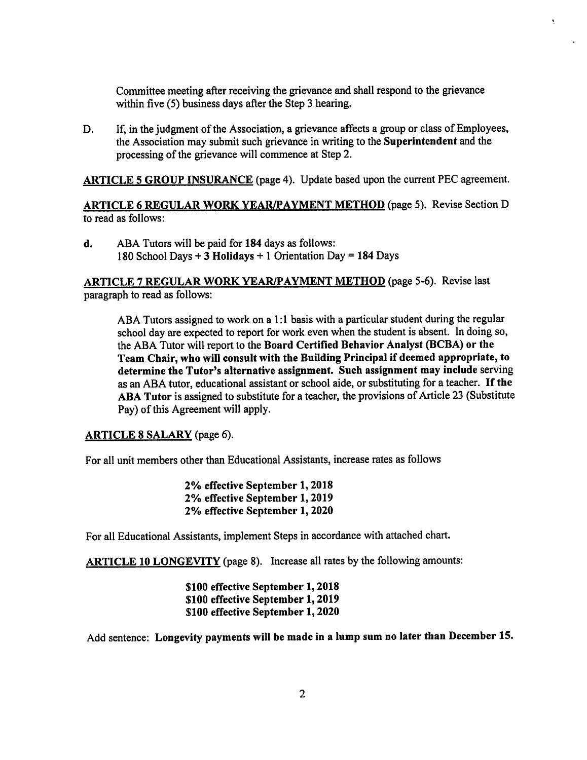Committee meeting after receiving the grievance and shall respond to the grievance within five (5) business days after the Step 3 hearing.

÷

D. If, in the judgment of the Association, a grievance affects a group or class of Employees, the Association may submit such grievance in writing to the Superintendent and the processing of the grievance will commence at Step 2.

ARTICLE 5 GROUP INSURANCE (page 4). Update based upon the current PEC agreement.

ARTICLE 6 REGULAR WORK YEAR/PAYMENT METHOD (page 5). Revise Section D to read as follows;

d. ABA Tutors will be paid for 184 days as follows: 180 School Days + 3 Holidays + 1 Orientation Day = 184 Days

# ARTICLE 7 REGULAR WORK YEAR/PAYMENT METHOD (page 5-6). Revise last paragraph to read as follows:

ABA Tutors assigned to work on a 1:1 basis with a particular student during the regular school day are expected to report for work even when the student is absent. In doing so, the ABA Tutor will report to the Board Certified Behavior Analyst (BCBA) or the Team Chair, who will consult with the Building Principal if deemed appropriate, to determine the Tutor's alternative assignment. Such assignment may include serving as an ABA tutor, educational assistant or school aide, or substituting for a teacher. If the ABA Tutor is assigned to substitute for a teacher, the provisions of Article 23 (Substitute Pay) of this Agreement will apply.

## ARTICLE 8 SALARY (page 6).

For all unit members other than Educational Assistants, increase rates as follows

2% effective September 1,2018 2% effective September 1,2019 2% effective September 1, 2020

For all Educational Assistants, implement Steps in accordance with attached chart.

ARTICLE 10 LONGEVITY (page 8). Increase all rates by the following amounts:

\$100 effective September 1,2018 \$100 effective September 1,2019 \$100 effective September 1,2020

Add sentence: Longevity payments will be made in a lump sum no later than December 15.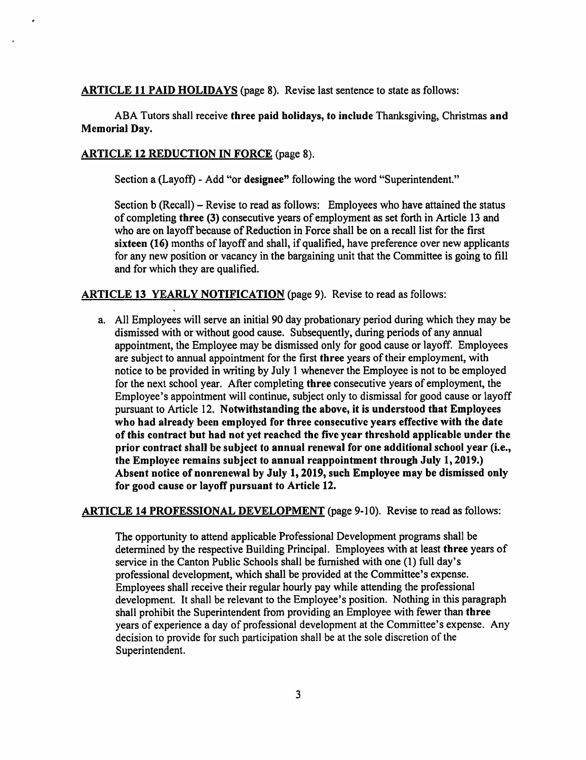ARTICLE 11 PAID HOLIDAYS (page 8). Revise last sentence to state as follows:

ABA Tutors shall receive three paid holidays, to include Thanksgiving, Christmas and Memorial Day.

# ARTICLE 12 REDUCTION IN FORCE (page 8).

Section a (Layoff) - Add "or designee" following the word "Superintendent."

Section b (Recall) – Revise to read as follows: Employees who have attained the status of completing three (3) consecutive years of employment as set forth in Article 13 and who are on layoff because of Reduction in Force shall be on a recall list for the first sixteen (16) months of layoff and shall, if qualified, have preference over new applicants for any new position or vacancy in the bargaining unit that the Committee is going to fill and for which they are qualified.

### ARTICLE 13 YEARLY NOTIFICATION (page 9). Revise to read as follows:

a. All Employees will serve an initial 90 day probationary period during which they may be dismissed with or without good cause. Subsequently, during periods of any annual appointment, the Employee may be dismissed only for good cause or layoff. Employees are subject to annual appointment for the first three years of their employment, with notice to be provided in writing by July 1 whenever the Employee is not to be employed for the next school year. After completing three consecutive years of employment, the Employee's appointment will continue, subject only to dismissal for good cause or layoff pursuant to Article 12. Notwithstanding the above, it is understood that Employees who had already been employed for three consecutive years effective with the date of this contract but had not yet reached the five year threshold applicable under the prior contract shall be subject to annual renewal for one additional school year (i.e., the Employee remains subject to annual reappointment through July 1,2019.) Absent notice of nonrenewal by July 1,2019, such Employee may be dismissed only for good cause or layoff pursuant to Article 12.

### ARTICLE 14 PROFESSIONAL DEVELOPMENT (page 9-10). Revise to read as follows:

The opportunity to attend applicable Professional Development programs shall be determined by the respective Building Principal. Employees with at least three years of service in the Canton Public Schools shall be furnished with one (1) full day's professional development, which shall be provided at the Committee's expense. Employees shall receive their regular hourly pay while attending the professional development. It shall be relevant to the Employee's position. Nothing in this paragraph shall prohibit the Superintendent from providing an Employee with fewer than three years of experience a day of professional development at the Committee's expense. Any decision to provide for such participation shall be at the sole discretion of the Superintendent.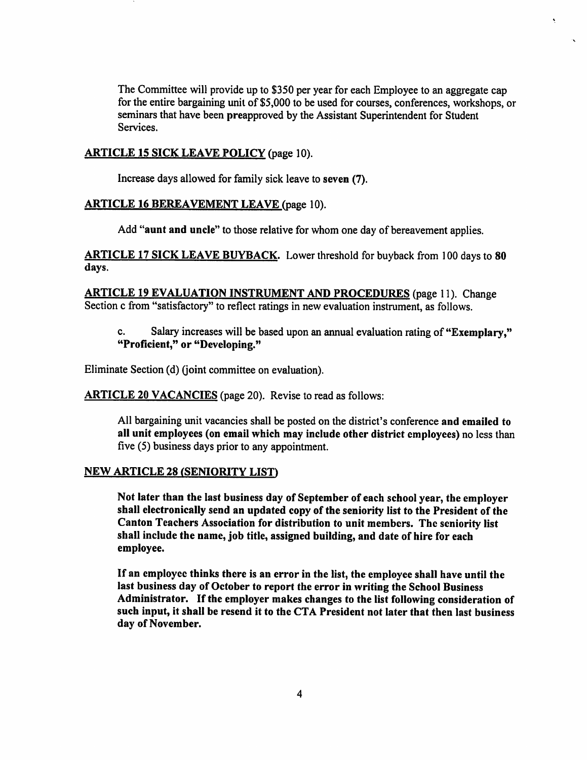The Committee will provide up to \$350 per year for each Employee to an aggregate cap for the entire bargaining unit of \$5,000 to be used for courses, conferences, workshops, or seminars that have been preapproved by the Assistant Superintendent for Student Services.

### ARTICLE 15 SICK LEAVE POLICY (page 10).

Increase days allowed for family sick leave to seven (7).

#### ARTICLE 16 BEREAVEMENT LEAVE (page 10).

Add "aunt and uncle'' to those relative for whom one day of bereavement applies.

ARTICLE 17 SICK LEAVE BUYBACK. Lower threshold for buyback from 100 days to 80 days.

ARTICLE 19 EVALUATION INSTRUMENT AND PROCEDURES (page 11). Change Section c from "satisfactory" to reflect ratings in new evaluation instrument, as follows.

c. Salary increases will be based upon an annual evaluation rating of "Exemplary," "Proficient," or "Developing."

Eliminate Section (d) (joint committee on evaluation).

ARTICLE 20 VACANCIES (page 20). Revise to read as follows:

All bargaining unit vacancies shall be posted on the district's conference and emailed to all unit employees (on email which may include other district employees) no less than five (5) business days prior to any appointment.

#### **NEW ARTICLE 28 (SENIORITY LIST)**

Not later than the last business day of September of each school year, the employer shall electronically send an updated copy of the seniority list to the President of the Canton Teachers Association for distribution to unit members. The seniority list shall include the name, job title, assigned building, and date of hire for each employee.

If an employee thinks there is an error in the list, the employee shall have until the last business day of October to report the error in writing the School Business Administrator. If the employer makes changes to the list following consideration of such input, it shall be resend it to the CTA President not later that then last business day of November.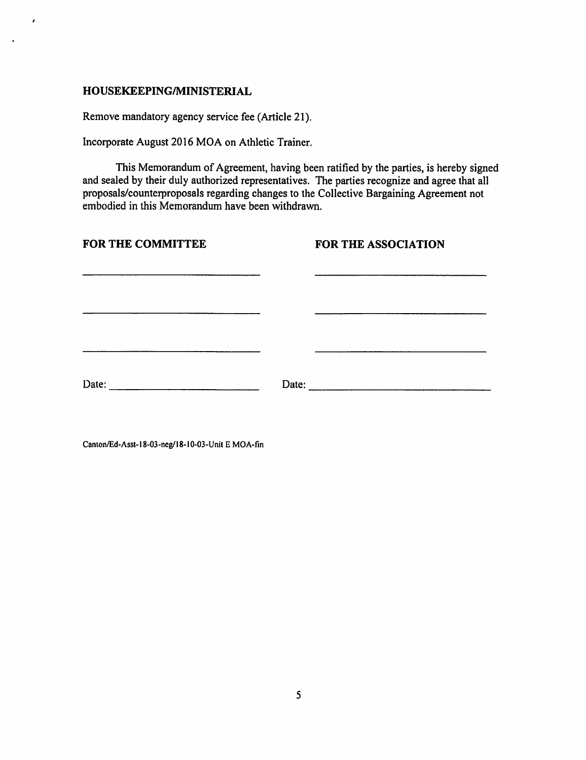# HOUSEKEEPING/MINISTERIAL

/

Remove mandatory agency service fee (Article 21).

Incorporate August 2016 MOA on Athletic Trainer.

This Memorandum of Agreement, having been ratified by the parties, is hereby signed and sealed by their duly authorized representatives. The parties recognize and agree that all proposals/counterproposals regarding changes to the Collective Bargaining Agreement not embodied in this Memorandum have been withdrawn.

| <b>FOR THE COMMITTEE</b>                                                                                       | FOR THE ASSOCIATION |
|----------------------------------------------------------------------------------------------------------------|---------------------|
|                                                                                                                |                     |
|                                                                                                                |                     |
|                                                                                                                |                     |
| Date: 2008. 2010. 2010. 2012. 2012. 2013. 2014. 2015. 2016. 2017. 2018. 2019. 2016. 2017. 2018. 2019. 2017. 20 | Date:               |
|                                                                                                                |                     |

Canlon/Ed-Assl-18-03-neg/18-l0-03-Unit E MOA-fin